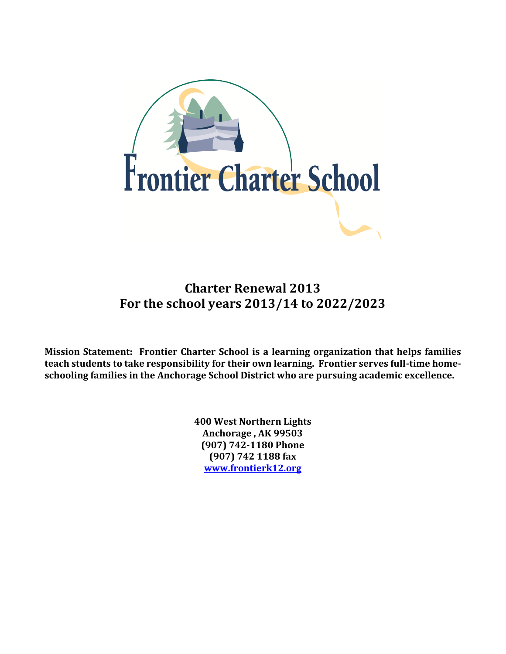

# **Charter Renewal 2013 For the school years 2013/14 to 2022/2023**

**Mission Statement: Frontier Charter School is a learning organization that helps families teach students to take responsibility for their own learning. Frontier serves full-time homeschooling families in the Anchorage School District who are pursuing academic excellence.**

> **400 West Northern Lights Anchorage , AK 99503 (907) 742-1180 Phone (907) 742 1188 fax [www.frontierk12.org](http://www.frontierk12.org/)**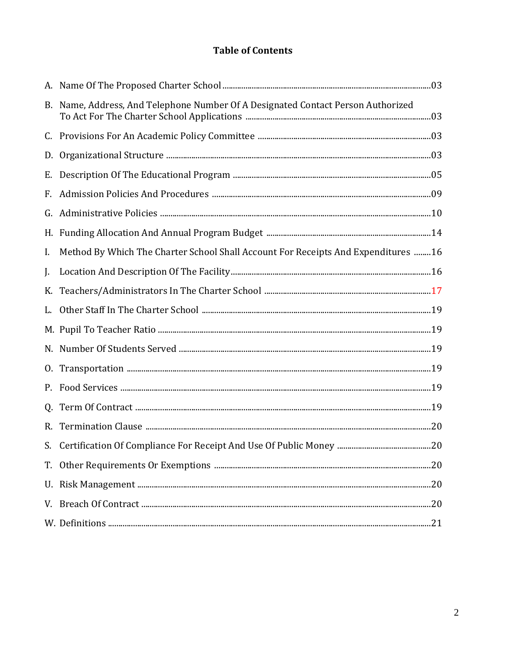# **Table of Contents**

|    | B. Name, Address, And Telephone Number Of A Designated Contact Person Authorized  |  |
|----|-----------------------------------------------------------------------------------|--|
|    |                                                                                   |  |
| D. |                                                                                   |  |
| Е. |                                                                                   |  |
| F. |                                                                                   |  |
| G. |                                                                                   |  |
|    |                                                                                   |  |
| I. | Method By Which The Charter School Shall Account For Receipts And Expenditures 16 |  |
| J. |                                                                                   |  |
| K. |                                                                                   |  |
|    |                                                                                   |  |
|    |                                                                                   |  |
|    |                                                                                   |  |
|    |                                                                                   |  |
|    |                                                                                   |  |
| Q. |                                                                                   |  |
|    |                                                                                   |  |
|    |                                                                                   |  |
|    |                                                                                   |  |
|    |                                                                                   |  |
|    |                                                                                   |  |
|    |                                                                                   |  |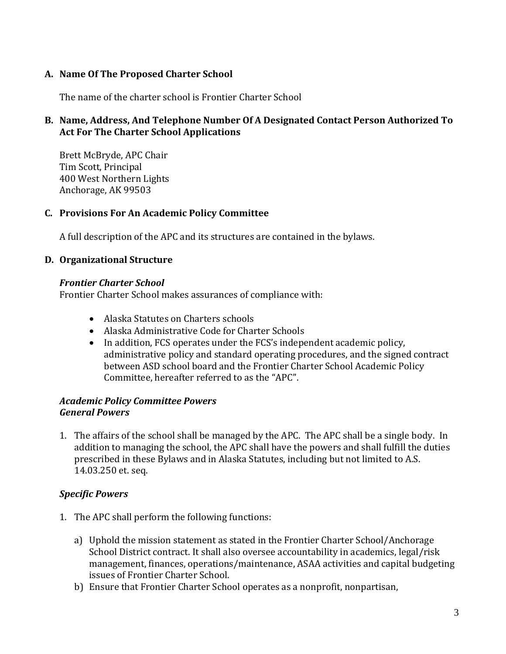### **A. Name Of The Proposed Charter School**

The name of the charter school is Frontier Charter School

# **B. Name, Address, And Telephone Number Of A Designated Contact Person Authorized To Act For The Charter School Applications**

Brett McBryde, APC Chair Tim Scott, Principal 400 West Northern Lights Anchorage, AK 99503

### **C. Provisions For An Academic Policy Committee**

A full description of the APC and its structures are contained in the bylaws.

### **D. Organizational Structure**

#### *Frontier Charter School*

Frontier Charter School makes assurances of compliance with:

- Alaska Statutes on Charters schools
- Alaska Administrative Code for Charter Schools
- In addition, FCS operates under the FCS's independent academic policy, administrative policy and standard operating procedures, and the signed contract between ASD school board and the Frontier Charter School Academic Policy Committee, hereafter referred to as the "APC".

### *Academic Policy Committee Powers General Powers*

1. The affairs of the school shall be managed by the APC. The APC shall be a single body. In addition to managing the school, the APC shall have the powers and shall fulfill the duties prescribed in these Bylaws and in Alaska Statutes, including but not limited to A.S. 14.03.250 et. seq.

### *Specific Powers*

- 1. The APC shall perform the following functions:
	- a) Uphold the mission statement as stated in the Frontier Charter School/Anchorage School District contract. It shall also oversee accountability in academics, legal/risk management, finances, operations/maintenance, ASAA activities and capital budgeting issues of Frontier Charter School.
	- b) Ensure that Frontier Charter School operates as a nonprofit, nonpartisan,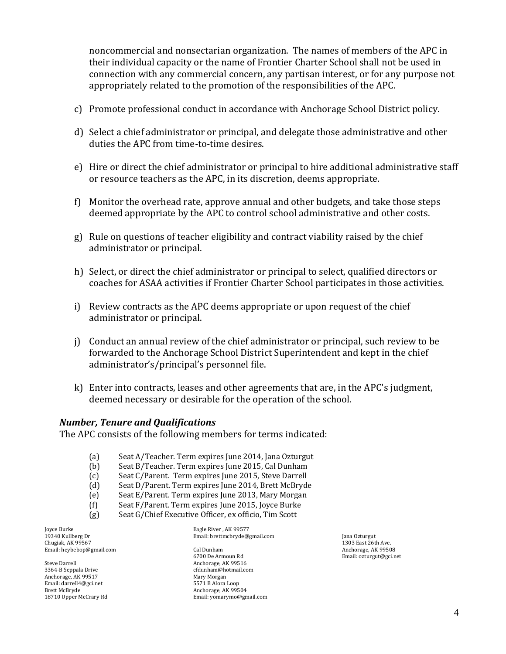noncommercial and nonsectarian organization. The names of members of the APC in their individual capacity or the name of Frontier Charter School shall not be used in connection with any commercial concern, any partisan interest, or for any purpose not appropriately related to the promotion of the responsibilities of the APC.

- c) Promote professional conduct in accordance with Anchorage School District policy.
- d) Select a chief administrator or principal, and delegate those administrative and other duties the APC from time-to-time desires.
- e) Hire or direct the chief administrator or principal to hire additional administrative staff or resource teachers as the APC, in its discretion, deems appropriate.
- f) Monitor the overhead rate, approve annual and other budgets, and take those steps deemed appropriate by the APC to control school administrative and other costs.
- g) Rule on questions of teacher eligibility and contract viability raised by the chief administrator or principal.
- h) Select, or direct the chief administrator or principal to select, qualified directors or coaches for ASAA activities if Frontier Charter School participates in those activities.
- i) Review contracts as the APC deems appropriate or upon request of the chief administrator or principal.
- j) Conduct an annual review of the chief administrator or principal, such review to be forwarded to the Anchorage School District Superintendent and kept in the chief administrator's/principal's personnel file.
- k) Enter into contracts, leases and other agreements that are, in the APC's judgment, deemed necessary or desirable for the operation of the school.

#### *Number, Tenure and Qualifications*

The APC consists of the following members for terms indicated:

- (a) Seat A/Teacher. Term expires June 2014, Jana Ozturgut
- (b) Seat B/Teacher. Term expires June 2015, Cal Dunham
- (c) Seat C/Parent. Term expires June 2015, Steve Darrell
- (d) Seat D/Parent. Term expires June 2014, Brett McBryde
- (e) Seat E/Parent. Term expires June 2013, Mary Morgan
- (f) Seat F/Parent. Term expires June 2015, Joyce Burke
- (g) Seat G/Chief Executive Officer, ex officio, Tim Scott

Joyce Burke 19340 Kullberg Dr Chugiak, AK 99567 Email[: heybebop@gmail.com](https://webmail.asdk12.org/owa/redir.aspx?C=0e03aa40489f4b5a96804039a1e80782&URL=mailto%3aheybebop%40gmail.com)

Steve Darrell 3364-B Seppala Drive Anchorage, AK 99517 Email[: darrell4@gci.net](https://webmail.asdk12.org/owa/redir.aspx?C=0e03aa40489f4b5a96804039a1e80782&URL=mailto%3adarrell4%40gci.net) Brett McBryde 18710 Upper McCrary Rd

Eagle River , AK 99577 Email[: brettmcbryde@gmail.com](https://webmail.asdk12.org/owa/redir.aspx?C=0e03aa40489f4b5a96804039a1e80782&URL=mailto%3abrettmcbryde%40gmail.com)

Cal Dunham 6700 De Armoun Rd Anchorage, AK 99516 cfdunham@hotmail.com Mary Morgan 5571 B Alora Loop Anchorage, AK 99504 Email[: yomarymo@gmail.com](https://webmail.asdk12.org/owa/redir.aspx?C=0e03aa40489f4b5a96804039a1e80782&URL=mailto%3ayomarymo%40gmail.com) Jana Ozturgut 1303 East 26th Ave. Anchorage, AK 99508 Email[: ozturgut@gci.net](https://webmail.asdk12.org/owa/redir.aspx?C=0e03aa40489f4b5a96804039a1e80782&URL=mailto%3aozturgut%40gci.net)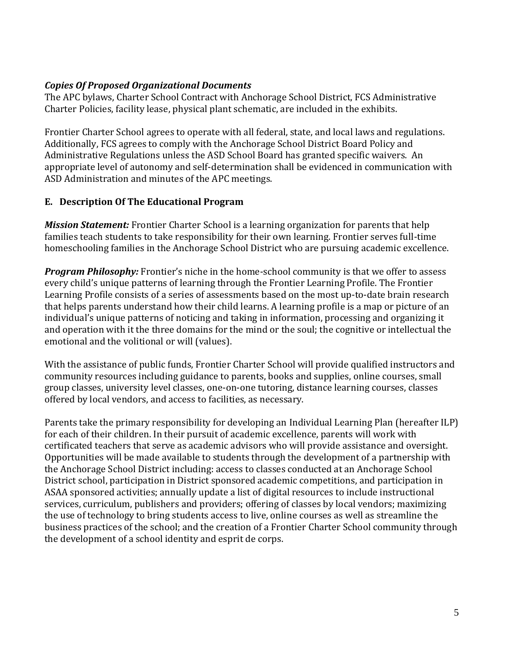### *Copies Of Proposed Organizational Documents*

The APC bylaws, Charter School Contract with Anchorage School District, FCS Administrative Charter Policies, facility lease, physical plant schematic, are included in the exhibits.

Frontier Charter School agrees to operate with all federal, state, and local laws and regulations. Additionally, FCS agrees to comply with the Anchorage School District Board Policy and Administrative Regulations unless the ASD School Board has granted specific waivers. An appropriate level of autonomy and self-determination shall be evidenced in communication with ASD Administration and minutes of the APC meetings.

### **E. Description Of The Educational Program**

*Mission Statement:* Frontier Charter School is a learning organization for parents that help families teach students to take responsibility for their own learning. Frontier serves full-time homeschooling families in the Anchorage School District who are pursuing academic excellence.

*Program Philosophy:* Frontier's niche in the home-school community is that we offer to assess every child's unique patterns of learning through the Frontier Learning Profile. The Frontier Learning Profile consists of a series of assessments based on the most up-to-date brain research that helps parents understand how their child learns. A learning profile is a map or picture of an individual's unique patterns of noticing and taking in information, processing and organizing it and operation with it the three domains for the mind or the soul; the cognitive or intellectual the emotional and the volitional or will (values).

With the assistance of public funds, Frontier Charter School will provide qualified instructors and community resources including guidance to parents, books and supplies, online courses, small group classes, university level classes, one-on-one tutoring, distance learning courses, classes offered by local vendors, and access to facilities, as necessary.

Parents take the primary responsibility for developing an Individual Learning Plan (hereafter ILP) for each of their children. In their pursuit of academic excellence, parents will work with certificated teachers that serve as academic advisors who will provide assistance and oversight. Opportunities will be made available to students through the development of a partnership with the Anchorage School District including: access to classes conducted at an Anchorage School District school, participation in District sponsored academic competitions, and participation in ASAA sponsored activities; annually update a list of digital resources to include instructional services, curriculum, publishers and providers; offering of classes by local vendors; maximizing the use of technology to bring students access to live, online courses as well as streamline the business practices of the school; and the creation of a Frontier Charter School community through the development of a school identity and esprit de corps.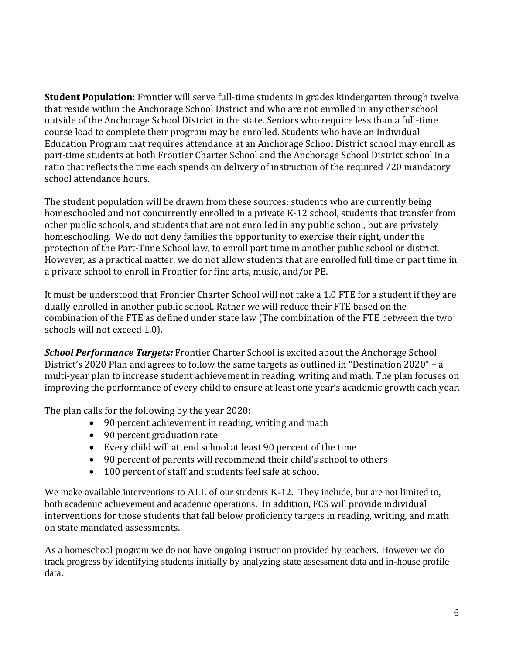**Student Population:** Frontier will serve full-time students in grades kindergarten through twelve that reside within the Anchorage School District and who are not enrolled in any other school outside of the Anchorage School District in the state. Seniors who require less than a full-time course load to complete their program may be enrolled. Students who have an Individual Education Program that requires attendance at an Anchorage School District school may enroll as part-time students at both Frontier Charter School and the Anchorage School District school in a ratio that reflects the time each spends on delivery of instruction of the required 720 mandatory school attendance hours.

The student population will be drawn from these sources: students who are currently being homeschooled and not concurrently enrolled in a private K-12 school, students that transfer from other public schools, and students that are not enrolled in any public school, but are privately homeschooling. We do not deny families the opportunity to exercise their right, under the protection of the Part-Time School law, to enroll part time in another public school or district. However, as a practical matter, we do not allow students that are enrolled full time or part time in a private school to enroll in Frontier for fine arts, music, and/or PE.

It must be understood that Frontier Charter School will not take a 1.0 FTE for a student if they are dually enrolled in another public school. Rather we will reduce their FTE based on the combination of the FTE as defined under state law (The combination of the FTE between the two schools will not exceed 1.0).

*School Performance Targets:* Frontier Charter School is excited about the Anchorage School District's 2020 Plan and agrees to follow the same targets as outlined in "Destination 2020" – a multi-year plan to increase student achievement in reading, writing and math. The plan focuses on improving the performance of every child to ensure at least one year's academic growth each year.

The plan calls for the following by the year 2020:

- 90 percent achievement in reading, writing and math
- 90 percent graduation rate
- Every child will attend school at least 90 percent of the time
- 90 percent of parents will recommend their child's school to others
- 100 percent of staff and students feel safe at school

We make available interventions to ALL of our students K-12. They include, but are not limited to, both academic achievement and academic operations. In addition, FCS will provide individual interventions for those students that fall below proficiency targets in reading, writing, and math on state mandated assessments.

As a homeschool program we do not have ongoing instruction provided by teachers. However we do track progress by identifying students initially by analyzing state assessment data and in-house profile data.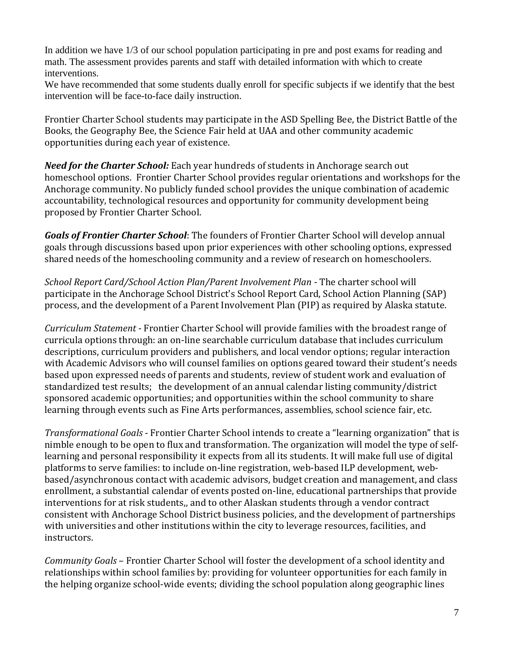In addition we have 1/3 of our school population participating in pre and post exams for reading and math. The assessment provides parents and staff with detailed information with which to create interventions.

We have recommended that some students dually enroll for specific subjects if we identify that the best intervention will be face-to-face daily instruction.

Frontier Charter School students may participate in the ASD Spelling Bee, the District Battle of the Books, the Geography Bee, the Science Fair held at UAA and other community academic opportunities during each year of existence.

*Need for the Charter School:* Each year hundreds of students in Anchorage search out homeschool options. Frontier Charter School provides regular orientations and workshops for the Anchorage community. No publicly funded school provides the unique combination of academic accountability, technological resources and opportunity for community development being proposed by Frontier Charter School.

*Goals of Frontier Charter School*: The founders of Frontier Charter School will develop annual goals through discussions based upon prior experiences with other schooling options, expressed shared needs of the homeschooling community and a review of research on homeschoolers.

*School Report Card/School Action Plan/Parent Involvement Plan* - The charter school will participate in the Anchorage School District's School Report Card, School Action Planning (SAP) process, and the development of a Parent Involvement Plan (PIP) as required by Alaska statute.

*Curriculum Statement* - Frontier Charter School will provide families with the broadest range of curricula options through: an on-line searchable curriculum database that includes curriculum descriptions, curriculum providers and publishers, and local vendor options; regular interaction with Academic Advisors who will counsel families on options geared toward their student's needs based upon expressed needs of parents and students, review of student work and evaluation of standardized test results; the development of an annual calendar listing community/district sponsored academic opportunities; and opportunities within the school community to share learning through events such as Fine Arts performances, assemblies, school science fair, etc.

*Transformational Goals* - Frontier Charter School intends to create a "learning organization" that is nimble enough to be open to flux and transformation. The organization will model the type of selflearning and personal responsibility it expects from all its students. It will make full use of digital platforms to serve families: to include on-line registration, web-based ILP development, webbased/asynchronous contact with academic advisors, budget creation and management, and class enrollment, a substantial calendar of events posted on-line, educational partnerships that provide interventions for at risk students,, and to other Alaskan students through a vendor contract consistent with Anchorage School District business policies, and the development of partnerships with universities and other institutions within the city to leverage resources, facilities, and instructors.

*Community Goals* – Frontier Charter School will foster the development of a school identity and relationships within school families by: providing for volunteer opportunities for each family in the helping organize school-wide events; dividing the school population along geographic lines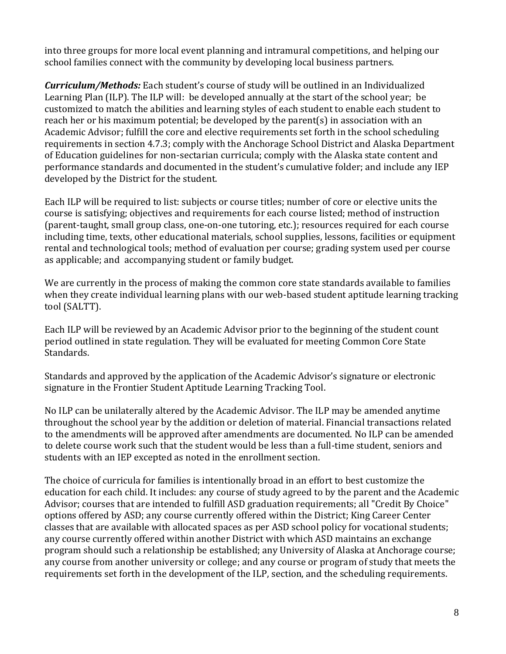into three groups for more local event planning and intramural competitions, and helping our school families connect with the community by developing local business partners.

*Curriculum/Methods:* Each student's course of study will be outlined in an Individualized Learning Plan (ILP). The ILP will: be developed annually at the start of the school year; be customized to match the abilities and learning styles of each student to enable each student to reach her or his maximum potential; be developed by the parent(s) in association with an Academic Advisor; fulfill the core and elective requirements set forth in the school scheduling requirements in section 4.7.3; comply with the Anchorage School District and Alaska Department of Education guidelines for non-sectarian curricula; comply with the Alaska state content and performance standards and documented in the student's cumulative folder; and include any IEP developed by the District for the student.

Each ILP will be required to list: subjects or course titles; number of core or elective units the course is satisfying; objectives and requirements for each course listed; method of instruction (parent-taught, small group class, one-on-one tutoring, etc.); resources required for each course including time, texts, other educational materials, school supplies, lessons, facilities or equipment rental and technological tools; method of evaluation per course; grading system used per course as applicable; and accompanying student or family budget.

We are currently in the process of making the common core state standards available to families when they create individual learning plans with our web-based student aptitude learning tracking tool (SALTT).

Each ILP will be reviewed by an Academic Advisor prior to the beginning of the student count period outlined in state regulation. They will be evaluated for meeting Common Core State Standards.

Standards and approved by the application of the Academic Advisor's signature or electronic signature in the Frontier Student Aptitude Learning Tracking Tool.

No ILP can be unilaterally altered by the Academic Advisor. The ILP may be amended anytime throughout the school year by the addition or deletion of material. Financial transactions related to the amendments will be approved after amendments are documented. No ILP can be amended to delete course work such that the student would be less than a full-time student, seniors and students with an IEP excepted as noted in the enrollment section.

The choice of curricula for families is intentionally broad in an effort to best customize the education for each child. It includes: any course of study agreed to by the parent and the Academic Advisor; courses that are intended to fulfill ASD graduation requirements; all "Credit By Choice" options offered by ASD; any course currently offered within the District; King Career Center classes that are available with allocated spaces as per ASD school policy for vocational students; any course currently offered within another District with which ASD maintains an exchange program should such a relationship be established; any University of Alaska at Anchorage course; any course from another university or college; and any course or program of study that meets the requirements set forth in the development of the ILP, section, and the scheduling requirements.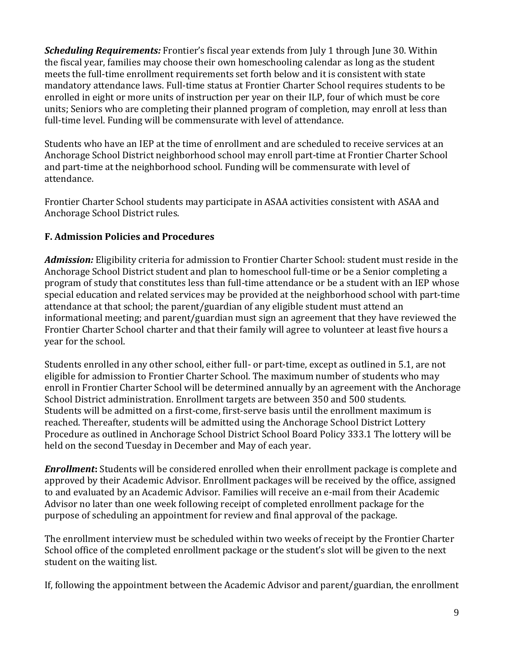**Scheduling Requirements:** Frontier's fiscal year extends from July 1 through June 30. Within the fiscal year, families may choose their own homeschooling calendar as long as the student meets the full-time enrollment requirements set forth below and it is consistent with state mandatory attendance laws. Full-time status at Frontier Charter School requires students to be enrolled in eight or more units of instruction per year on their ILP, four of which must be core units; Seniors who are completing their planned program of completion, may enroll at less than full-time level. Funding will be commensurate with level of attendance.

Students who have an IEP at the time of enrollment and are scheduled to receive services at an Anchorage School District neighborhood school may enroll part-time at Frontier Charter School and part-time at the neighborhood school. Funding will be commensurate with level of attendance.

Frontier Charter School students may participate in ASAA activities consistent with ASAA and Anchorage School District rules.

# **F. Admission Policies and Procedures**

*Admission:* Eligibility criteria for admission to Frontier Charter School: student must reside in the Anchorage School District student and plan to homeschool full-time or be a Senior completing a program of study that constitutes less than full-time attendance or be a student with an IEP whose special education and related services may be provided at the neighborhood school with part-time attendance at that school; the parent/guardian of any eligible student must attend an informational meeting; and parent/guardian must sign an agreement that they have reviewed the Frontier Charter School charter and that their family will agree to volunteer at least five hours a year for the school.

Students enrolled in any other school, either full- or part-time, except as outlined in 5.1, are not eligible for admission to Frontier Charter School. The maximum number of students who may enroll in Frontier Charter School will be determined annually by an agreement with the Anchorage School District administration. Enrollment targets are between 350 and 500 students. Students will be admitted on a first-come, first-serve basis until the enrollment maximum is reached. Thereafter, students will be admitted using the Anchorage School District Lottery Procedure as outlined in Anchorage School District School Board Policy 333.1 The lottery will be held on the second Tuesday in December and May of each year.

*Enrollment***:** Students will be considered enrolled when their enrollment package is complete and approved by their Academic Advisor. Enrollment packages will be received by the office, assigned to and evaluated by an Academic Advisor. Families will receive an e-mail from their Academic Advisor no later than one week following receipt of completed enrollment package for the purpose of scheduling an appointment for review and final approval of the package.

The enrollment interview must be scheduled within two weeks of receipt by the Frontier Charter School office of the completed enrollment package or the student's slot will be given to the next student on the waiting list.

If, following the appointment between the Academic Advisor and parent/guardian, the enrollment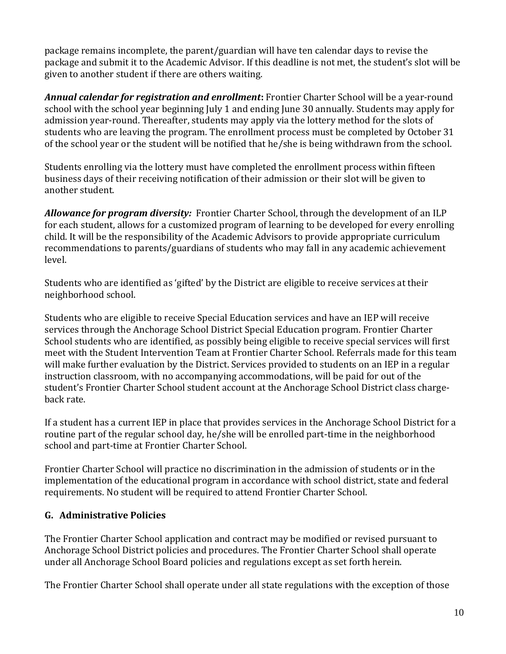package remains incomplete, the parent/guardian will have ten calendar days to revise the package and submit it to the Academic Advisor. If this deadline is not met, the student's slot will be given to another student if there are others waiting.

*Annual calendar for registration and enrollment***:** Frontier Charter School will be a year-round school with the school year beginning July 1 and ending June 30 annually. Students may apply for admission year-round. Thereafter, students may apply via the lottery method for the slots of students who are leaving the program. The enrollment process must be completed by October 31 of the school year or the student will be notified that he/she is being withdrawn from the school.

Students enrolling via the lottery must have completed the enrollment process within fifteen business days of their receiving notification of their admission or their slot will be given to another student.

*Allowance for program diversity:* Frontier Charter School, through the development of an ILP for each student, allows for a customized program of learning to be developed for every enrolling child. It will be the responsibility of the Academic Advisors to provide appropriate curriculum recommendations to parents/guardians of students who may fall in any academic achievement level.

Students who are identified as 'gifted' by the District are eligible to receive services at their neighborhood school.

Students who are eligible to receive Special Education services and have an IEP will receive services through the Anchorage School District Special Education program. Frontier Charter School students who are identified, as possibly being eligible to receive special services will first meet with the Student Intervention Team at Frontier Charter School. Referrals made for this team will make further evaluation by the District. Services provided to students on an IEP in a regular instruction classroom, with no accompanying accommodations, will be paid for out of the student's Frontier Charter School student account at the Anchorage School District class chargeback rate.

If a student has a current IEP in place that provides services in the Anchorage School District for a routine part of the regular school day, he/she will be enrolled part-time in the neighborhood school and part-time at Frontier Charter School.

Frontier Charter School will practice no discrimination in the admission of students or in the implementation of the educational program in accordance with school district, state and federal requirements. No student will be required to attend Frontier Charter School.

# **G. Administrative Policies**

The Frontier Charter School application and contract may be modified or revised pursuant to Anchorage School District policies and procedures. The Frontier Charter School shall operate under all Anchorage School Board policies and regulations except as set forth herein.

The Frontier Charter School shall operate under all state regulations with the exception of those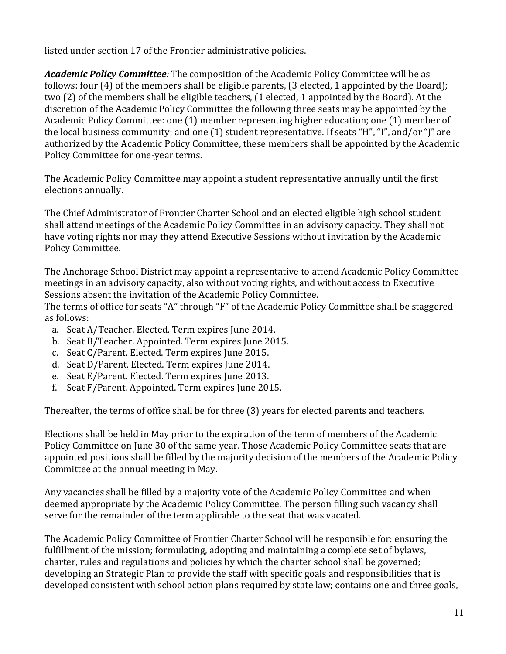listed under section 17 of the Frontier administrative policies.

*Academic Policy Committee:* The composition of the Academic Policy Committee will be as follows: four (4) of the members shall be eligible parents, (3 elected, 1 appointed by the Board); two (2) of the members shall be eligible teachers, (1 elected, 1 appointed by the Board). At the discretion of the Academic Policy Committee the following three seats may be appointed by the Academic Policy Committee: one (1) member representing higher education; one (1) member of the local business community; and one (1) student representative. If seats "H", "I", and/or "J" are authorized by the Academic Policy Committee, these members shall be appointed by the Academic Policy Committee for one-year terms.

The Academic Policy Committee may appoint a student representative annually until the first elections annually.

The Chief Administrator of Frontier Charter School and an elected eligible high school student shall attend meetings of the Academic Policy Committee in an advisory capacity. They shall not have voting rights nor may they attend Executive Sessions without invitation by the Academic Policy Committee.

The Anchorage School District may appoint a representative to attend Academic Policy Committee meetings in an advisory capacity, also without voting rights, and without access to Executive Sessions absent the invitation of the Academic Policy Committee.

The terms of office for seats "A" through "F" of the Academic Policy Committee shall be staggered as follows:

- a. Seat A/Teacher. Elected. Term expires June 2014.
- b. Seat B/Teacher. Appointed. Term expires June 2015.
- c. Seat C/Parent. Elected. Term expires June 2015.
- d. Seat D/Parent. Elected. Term expires June 2014.
- e. Seat E/Parent. Elected. Term expires June 2013.
- f. Seat F/Parent. Appointed. Term expires June 2015.

Thereafter, the terms of office shall be for three (3) years for elected parents and teachers.

Elections shall be held in May prior to the expiration of the term of members of the Academic Policy Committee on June 30 of the same year. Those Academic Policy Committee seats that are appointed positions shall be filled by the majority decision of the members of the Academic Policy Committee at the annual meeting in May.

Any vacancies shall be filled by a majority vote of the Academic Policy Committee and when deemed appropriate by the Academic Policy Committee. The person filling such vacancy shall serve for the remainder of the term applicable to the seat that was vacated.

The Academic Policy Committee of Frontier Charter School will be responsible for: ensuring the fulfillment of the mission; formulating, adopting and maintaining a complete set of bylaws, charter, rules and regulations and policies by which the charter school shall be governed; developing an Strategic Plan to provide the staff with specific goals and responsibilities that is developed consistent with school action plans required by state law; contains one and three goals,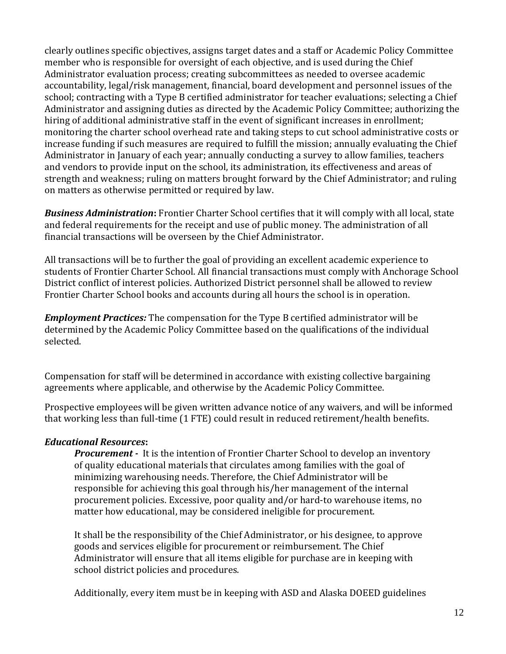clearly outlines specific objectives, assigns target dates and a staff or Academic Policy Committee member who is responsible for oversight of each objective, and is used during the Chief Administrator evaluation process; creating subcommittees as needed to oversee academic accountability, legal/risk management, financial, board development and personnel issues of the school; contracting with a Type B certified administrator for teacher evaluations; selecting a Chief Administrator and assigning duties as directed by the Academic Policy Committee; authorizing the hiring of additional administrative staff in the event of significant increases in enrollment; monitoring the charter school overhead rate and taking steps to cut school administrative costs or increase funding if such measures are required to fulfill the mission; annually evaluating the Chief Administrator in January of each year; annually conducting a survey to allow families, teachers and vendors to provide input on the school, its administration, its effectiveness and areas of strength and weakness; ruling on matters brought forward by the Chief Administrator; and ruling on matters as otherwise permitted or required by law.

*Business Administration***:** Frontier Charter School certifies that it will comply with all local, state and federal requirements for the receipt and use of public money. The administration of all financial transactions will be overseen by the Chief Administrator.

All transactions will be to further the goal of providing an excellent academic experience to students of Frontier Charter School. All financial transactions must comply with Anchorage School District conflict of interest policies. Authorized District personnel shall be allowed to review Frontier Charter School books and accounts during all hours the school is in operation.

*Employment Practices:* The compensation for the Type B certified administrator will be determined by the Academic Policy Committee based on the qualifications of the individual selected.

Compensation for staff will be determined in accordance with existing collective bargaining agreements where applicable, and otherwise by the Academic Policy Committee.

Prospective employees will be given written advance notice of any waivers, and will be informed that working less than full-time (1 FTE) could result in reduced retirement/health benefits.

# *Educational Resources***:**

*Procurement -* It is the intention of Frontier Charter School to develop an inventory of quality educational materials that circulates among families with the goal of minimizing warehousing needs. Therefore, the Chief Administrator will be responsible for achieving this goal through his/her management of the internal procurement policies. Excessive, poor quality and/or hard-to warehouse items, no matter how educational, may be considered ineligible for procurement.

It shall be the responsibility of the Chief Administrator, or his designee, to approve goods and services eligible for procurement or reimbursement. The Chief Administrator will ensure that all items eligible for purchase are in keeping with school district policies and procedures.

Additionally, every item must be in keeping with ASD and Alaska DOEED guidelines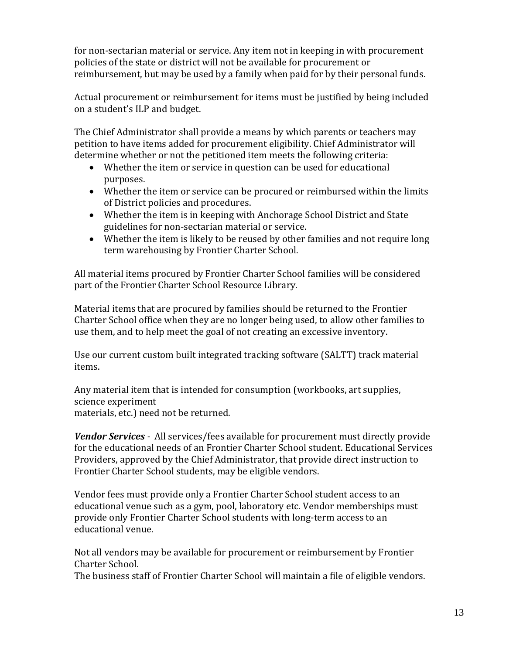for non-sectarian material or service. Any item not in keeping in with procurement policies of the state or district will not be available for procurement or reimbursement, but may be used by a family when paid for by their personal funds.

Actual procurement or reimbursement for items must be justified by being included on a student's ILP and budget.

The Chief Administrator shall provide a means by which parents or teachers may petition to have items added for procurement eligibility. Chief Administrator will determine whether or not the petitioned item meets the following criteria:

- Whether the item or service in question can be used for educational purposes.
- Whether the item or service can be procured or reimbursed within the limits of District policies and procedures.
- Whether the item is in keeping with Anchorage School District and State guidelines for non-sectarian material or service.
- Whether the item is likely to be reused by other families and not require long term warehousing by Frontier Charter School.

All material items procured by Frontier Charter School families will be considered part of the Frontier Charter School Resource Library.

Material items that are procured by families should be returned to the Frontier Charter School office when they are no longer being used, to allow other families to use them, and to help meet the goal of not creating an excessive inventory.

Use our current custom built integrated tracking software (SALTT) track material items.

Any material item that is intended for consumption (workbooks, art supplies, science experiment materials, etc.) need not be returned.

*Vendor Services -* All services/fees available for procurement must directly provide for the educational needs of an Frontier Charter School student. Educational Services Providers, approved by the Chief Administrator, that provide direct instruction to Frontier Charter School students, may be eligible vendors.

Vendor fees must provide only a Frontier Charter School student access to an educational venue such as a gym, pool, laboratory etc. Vendor memberships must provide only Frontier Charter School students with long-term access to an educational venue.

Not all vendors may be available for procurement or reimbursement by Frontier Charter School.

The business staff of Frontier Charter School will maintain a file of eligible vendors.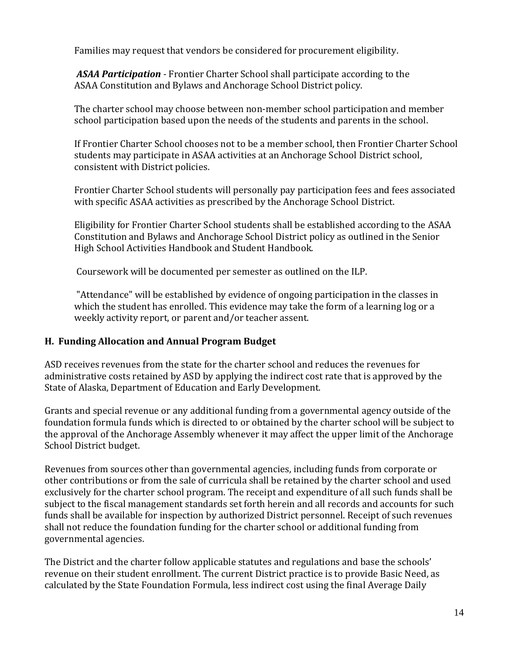Families may request that vendors be considered for procurement eligibility.

*ASAA Participation -* Frontier Charter School shall participate according to the ASAA Constitution and Bylaws and Anchorage School District policy.

The charter school may choose between non-member school participation and member school participation based upon the needs of the students and parents in the school.

If Frontier Charter School chooses not to be a member school, then Frontier Charter School students may participate in ASAA activities at an Anchorage School District school, consistent with District policies.

Frontier Charter School students will personally pay participation fees and fees associated with specific ASAA activities as prescribed by the Anchorage School District.

Eligibility for Frontier Charter School students shall be established according to the ASAA Constitution and Bylaws and Anchorage School District policy as outlined in the Senior High School Activities Handbook and Student Handbook.

Coursework will be documented per semester as outlined on the ILP.

"Attendance" will be established by evidence of ongoing participation in the classes in which the student has enrolled. This evidence may take the form of a learning log or a weekly activity report, or parent and/or teacher assent.

# **H. Funding Allocation and Annual Program Budget**

ASD receives revenues from the state for the charter school and reduces the revenues for administrative costs retained by ASD by applying the indirect cost rate that is approved by the State of Alaska, Department of Education and Early Development.

Grants and special revenue or any additional funding from a governmental agency outside of the foundation formula funds which is directed to or obtained by the charter school will be subject to the approval of the Anchorage Assembly whenever it may affect the upper limit of the Anchorage School District budget.

Revenues from sources other than governmental agencies, including funds from corporate or other contributions or from the sale of curricula shall be retained by the charter school and used exclusively for the charter school program. The receipt and expenditure of all such funds shall be subject to the fiscal management standards set forth herein and all records and accounts for such funds shall be available for inspection by authorized District personnel. Receipt of such revenues shall not reduce the foundation funding for the charter school or additional funding from governmental agencies.

The District and the charter follow applicable statutes and regulations and base the schools' revenue on their student enrollment. The current District practice is to provide Basic Need, as calculated by the State Foundation Formula, less indirect cost using the final Average Daily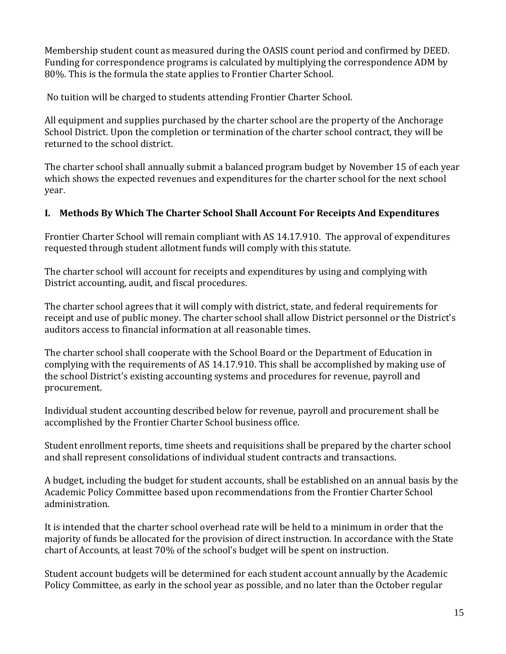Membership student count as measured during the OASIS count period and confirmed by DEED. Funding for correspondence programs is calculated by multiplying the correspondence ADM by 80%. This is the formula the state applies to Frontier Charter School.

No tuition will be charged to students attending Frontier Charter School.

All equipment and supplies purchased by the charter school are the property of the Anchorage School District. Upon the completion or termination of the charter school contract, they will be returned to the school district.

The charter school shall annually submit a balanced program budget by November 15 of each year which shows the expected revenues and expenditures for the charter school for the next school year.

# **I. Methods By Which The Charter School Shall Account For Receipts And Expenditures**

Frontier Charter School will remain compliant with AS 14.17.910. The approval of expenditures requested through student allotment funds will comply with this statute.

The charter school will account for receipts and expenditures by using and complying with District accounting, audit, and fiscal procedures.

The charter school agrees that it will comply with district, state, and federal requirements for receipt and use of public money. The charter school shall allow District personnel or the District's auditors access to financial information at all reasonable times.

The charter school shall cooperate with the School Board or the Department of Education in complying with the requirements of AS 14.17.910. This shall be accomplished by making use of the school District's existing accounting systems and procedures for revenue, payroll and procurement.

Individual student accounting described below for revenue, payroll and procurement shall be accomplished by the Frontier Charter School business office.

Student enrollment reports, time sheets and requisitions shall be prepared by the charter school and shall represent consolidations of individual student contracts and transactions.

A budget, including the budget for student accounts, shall be established on an annual basis by the Academic Policy Committee based upon recommendations from the Frontier Charter School administration.

It is intended that the charter school overhead rate will be held to a minimum in order that the majority of funds be allocated for the provision of direct instruction. In accordance with the State chart of Accounts, at least 70% of the school's budget will be spent on instruction.

Student account budgets will be determined for each student account annually by the Academic Policy Committee, as early in the school year as possible, and no later than the October regular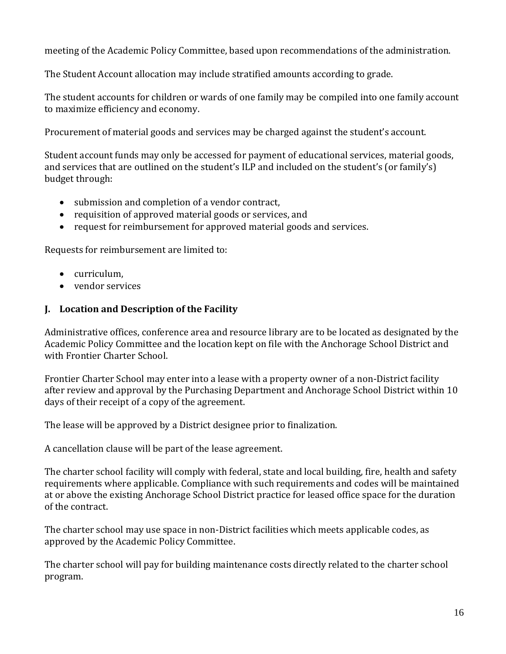meeting of the Academic Policy Committee, based upon recommendations of the administration.

The Student Account allocation may include stratified amounts according to grade.

The student accounts for children or wards of one family may be compiled into one family account to maximize efficiency and economy.

Procurement of material goods and services may be charged against the student's account.

Student account funds may only be accessed for payment of educational services, material goods, and services that are outlined on the student's ILP and included on the student's (or family's) budget through:

- submission and completion of a vendor contract,
- requisition of approved material goods or services, and
- request for reimbursement for approved material goods and services.

Requests for reimbursement are limited to:

- curriculum.
- vendor services

### **J. Location and Description of the Facility**

Administrative offices, conference area and resource library are to be located as designated by the Academic Policy Committee and the location kept on file with the Anchorage School District and with Frontier Charter School.

Frontier Charter School may enter into a lease with a property owner of a non-District facility after review and approval by the Purchasing Department and Anchorage School District within 10 days of their receipt of a copy of the agreement.

The lease will be approved by a District designee prior to finalization.

A cancellation clause will be part of the lease agreement.

The charter school facility will comply with federal, state and local building, fire, health and safety requirements where applicable. Compliance with such requirements and codes will be maintained at or above the existing Anchorage School District practice for leased office space for the duration of the contract.

The charter school may use space in non-District facilities which meets applicable codes, as approved by the Academic Policy Committee.

The charter school will pay for building maintenance costs directly related to the charter school program.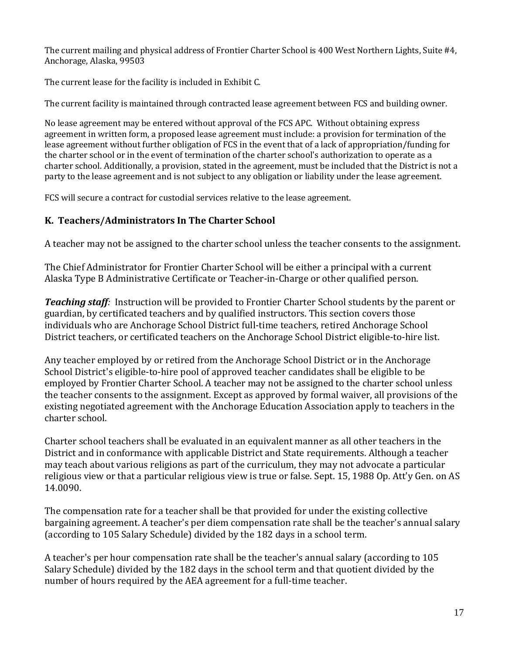The current mailing and physical address of Frontier Charter School is 400 West Northern Lights, Suite #4, Anchorage, Alaska, 99503

The current lease for the facility is included in Exhibit C.

The current facility is maintained through contracted lease agreement between FCS and building owner.

No lease agreement may be entered without approval of the FCS APC. Without obtaining express agreement in written form, a proposed lease agreement must include: a provision for termination of the lease agreement without further obligation of FCS in the event that of a lack of appropriation/funding for the charter school or in the event of termination of the charter school's authorization to operate as a charter school. Additionally, a provision, stated in the agreement, must be included that the District is not a party to the lease agreement and is not subject to any obligation or liability under the lease agreement.

FCS will secure a contract for custodial services relative to the lease agreement.

# **K. Teachers/Administrators In The Charter School**

A teacher may not be assigned to the charter school unless the teacher consents to the assignment.

The Chief Administrator for Frontier Charter School will be either a principal with a current Alaska Type B Administrative Certificate or Teacher-in-Charge or other qualified person.

*Teaching staff:* Instruction will be provided to Frontier Charter School students by the parent or guardian, by certificated teachers and by qualified instructors. This section covers those individuals who are Anchorage School District full-time teachers, retired Anchorage School District teachers, or certificated teachers on the Anchorage School District eligible-to-hire list.

Any teacher employed by or retired from the Anchorage School District or in the Anchorage School District's eligible-to-hire pool of approved teacher candidates shall be eligible to be employed by Frontier Charter School. A teacher may not be assigned to the charter school unless the teacher consents to the assignment. Except as approved by formal waiver, all provisions of the existing negotiated agreement with the Anchorage Education Association apply to teachers in the charter school.

Charter school teachers shall be evaluated in an equivalent manner as all other teachers in the District and in conformance with applicable District and State requirements. Although a teacher may teach about various religions as part of the curriculum, they may not advocate a particular religious view or that a particular religious view is true or false. Sept. 15, 1988 Op. Att'y Gen. on AS 14.0090.

The compensation rate for a teacher shall be that provided for under the existing collective bargaining agreement. A teacher's per diem compensation rate shall be the teacher's annual salary (according to 105 Salary Schedule) divided by the 182 days in a school term.

A teacher's per hour compensation rate shall be the teacher's annual salary (according to 105 Salary Schedule) divided by the 182 days in the school term and that quotient divided by the number of hours required by the AEA agreement for a full-time teacher.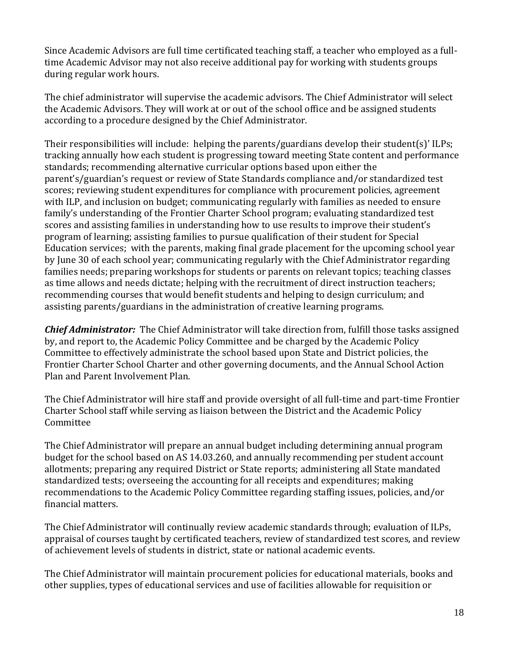Since Academic Advisors are full time certificated teaching staff, a teacher who employed as a fulltime Academic Advisor may not also receive additional pay for working with students groups during regular work hours.

The chief administrator will supervise the academic advisors. The Chief Administrator will select the Academic Advisors. They will work at or out of the school office and be assigned students according to a procedure designed by the Chief Administrator.

Their responsibilities will include: helping the parents/guardians develop their student(s)' ILPs; tracking annually how each student is progressing toward meeting State content and performance standards; recommending alternative curricular options based upon either the parent's/guardian's request or review of State Standards compliance and/or standardized test scores; reviewing student expenditures for compliance with procurement policies, agreement with ILP, and inclusion on budget; communicating regularly with families as needed to ensure family's understanding of the Frontier Charter School program; evaluating standardized test scores and assisting families in understanding how to use results to improve their student's program of learning; assisting families to pursue qualification of their student for Special Education services; with the parents, making final grade placement for the upcoming school year by June 30 of each school year; communicating regularly with the Chief Administrator regarding families needs; preparing workshops for students or parents on relevant topics; teaching classes as time allows and needs dictate; helping with the recruitment of direct instruction teachers; recommending courses that would benefit students and helping to design curriculum; and assisting parents/guardians in the administration of creative learning programs.

*Chief Administrator:* The Chief Administrator will take direction from, fulfill those tasks assigned by, and report to, the Academic Policy Committee and be charged by the Academic Policy Committee to effectively administrate the school based upon State and District policies, the Frontier Charter School Charter and other governing documents, and the Annual School Action Plan and Parent Involvement Plan.

The Chief Administrator will hire staff and provide oversight of all full-time and part-time Frontier Charter School staff while serving as liaison between the District and the Academic Policy Committee

The Chief Administrator will prepare an annual budget including determining annual program budget for the school based on AS 14.03.260, and annually recommending per student account allotments; preparing any required District or State reports; administering all State mandated standardized tests; overseeing the accounting for all receipts and expenditures; making recommendations to the Academic Policy Committee regarding staffing issues, policies, and/or financial matters.

The Chief Administrator will continually review academic standards through; evaluation of ILPs, appraisal of courses taught by certificated teachers, review of standardized test scores, and review of achievement levels of students in district, state or national academic events.

The Chief Administrator will maintain procurement policies for educational materials, books and other supplies, types of educational services and use of facilities allowable for requisition or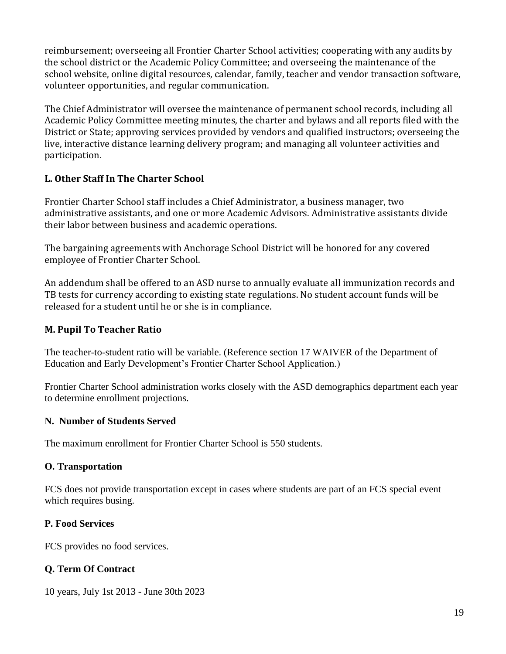reimbursement; overseeing all Frontier Charter School activities; cooperating with any audits by the school district or the Academic Policy Committee; and overseeing the maintenance of the school website, online digital resources, calendar, family, teacher and vendor transaction software, volunteer opportunities, and regular communication.

The Chief Administrator will oversee the maintenance of permanent school records, including all Academic Policy Committee meeting minutes, the charter and bylaws and all reports filed with the District or State; approving services provided by vendors and qualified instructors; overseeing the live, interactive distance learning delivery program; and managing all volunteer activities and participation.

# **L. Other Staff In The Charter School**

Frontier Charter School staff includes a Chief Administrator, a business manager, two administrative assistants, and one or more Academic Advisors. Administrative assistants divide their labor between business and academic operations.

The bargaining agreements with Anchorage School District will be honored for any covered employee of Frontier Charter School.

An addendum shall be offered to an ASD nurse to annually evaluate all immunization records and TB tests for currency according to existing state regulations. No student account funds will be released for a student until he or she is in compliance.

# **M. Pupil To Teacher Ratio**

The teacher-to-student ratio will be variable. (Reference section 17 WAIVER of the Department of Education and Early Development's Frontier Charter School Application.)

Frontier Charter School administration works closely with the ASD demographics department each year to determine enrollment projections.

# **N. Number of Students Served**

The maximum enrollment for Frontier Charter School is 550 students.

### **O. Transportation**

FCS does not provide transportation except in cases where students are part of an FCS special event which requires busing.

### **P. Food Services**

FCS provides no food services.

# **Q. Term Of Contract**

10 years, July 1st 2013 - June 30th 2023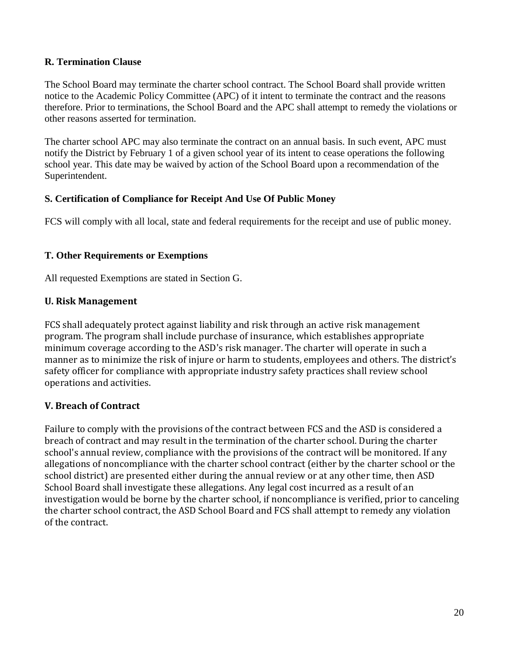### **R. Termination Clause**

The School Board may terminate the charter school contract. The School Board shall provide written notice to the Academic Policy Committee (APC) of it intent to terminate the contract and the reasons therefore. Prior to terminations, the School Board and the APC shall attempt to remedy the violations or other reasons asserted for termination.

The charter school APC may also terminate the contract on an annual basis. In such event, APC must notify the District by February 1 of a given school year of its intent to cease operations the following school year. This date may be waived by action of the School Board upon a recommendation of the Superintendent.

#### **S. Certification of Compliance for Receipt And Use Of Public Money**

FCS will comply with all local, state and federal requirements for the receipt and use of public money.

#### **T. Other Requirements or Exemptions**

All requested Exemptions are stated in Section G.

### **U. Risk Management**

FCS shall adequately protect against liability and risk through an active risk management program. The program shall include purchase of insurance, which establishes appropriate minimum coverage according to the ASD's risk manager. The charter will operate in such a manner as to minimize the risk of injure or harm to students, employees and others. The district's safety officer for compliance with appropriate industry safety practices shall review school operations and activities.

### **V. Breach of Contract**

Failure to comply with the provisions of the contract between FCS and the ASD is considered a breach of contract and may result in the termination of the charter school. During the charter school's annual review, compliance with the provisions of the contract will be monitored. If any allegations of noncompliance with the charter school contract (either by the charter school or the school district) are presented either during the annual review or at any other time, then ASD School Board shall investigate these allegations. Any legal cost incurred as a result of an investigation would be borne by the charter school, if noncompliance is verified, prior to canceling the charter school contract, the ASD School Board and FCS shall attempt to remedy any violation of the contract.